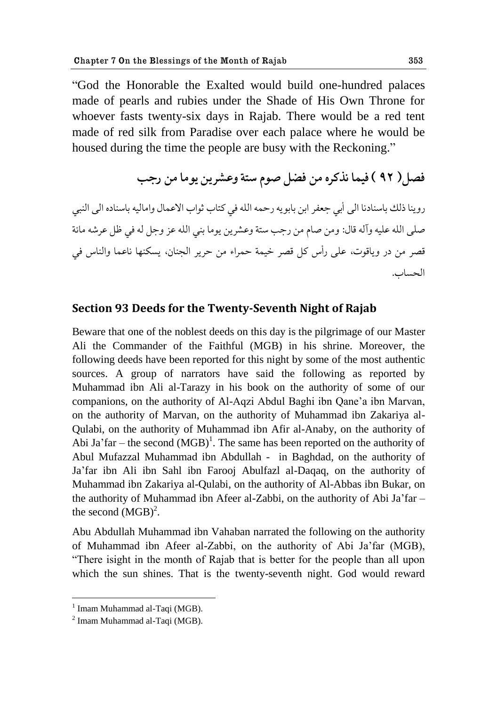"God the Honorable the Exalted would build one-hundred palaces made of pearls and rubies under the Shade of His Own Throne for whoever fasts twenty-six days in Rajab. There would be a red tent made of red silk from Paradise over each palace where he would be housed during the time the people are busy with the Reckoning."

فصل( ٩٢ ) فيما نذكره من فضل صوم ستة وعشرين يوما من رجب

روينا ذلك باسنادنا الى أبي جعفر ابن بابو يه رحمه الله في كتاب ثواب الاعمال وإماليه باسناده الى النبي صلى الله عليه وآله قال: ومن صام من رحب ستة وعشرين يوما بني الله عز وحل له في ظل عرشه مائة قصر من در وياقوت، على رأس كل قصر خيمة حمراء من حرير الجنان، يسكنها ناعما والناس في الحساب.

#### **Section 93 Deeds for the Twenty-Seventh Night of Rajab**

Beware that one of the noblest deeds on this day is the pilgrimage of our Master Ali the Commander of the Faithful (MGB) in his shrine. Moreover, the following deeds have been reported for this night by some of the most authentic sources. A group of narrators have said the following as reported by Muhammad ibn Ali al-Tarazy in his book on the authority of some of our companions, on the authority of Al-Aqzi Abdul Baghi ibn Qane"a ibn Marvan, on the authority of Marvan, on the authority of Muhammad ibn Zakariya al-Qulabi, on the authority of Muhammad ibn Afir al-Anaby, on the authority of Abi Ja'far – the second  $(MGB)^1$ . The same has been reported on the authority of Abul Mufazzal Muhammad ibn Abdullah - in Baghdad, on the authority of Ja"far ibn Ali ibn Sahl ibn Farooj Abulfazl al-Daqaq, on the authority of Muhammad ibn Zakariya al-Qulabi, on the authority of Al-Abbas ibn Bukar, on the authority of Muhammad ibn Afeer al-Zabbi, on the authority of Abi Ja"far – the second  $(MGB)^2$ .

Abu Abdullah Muhammad ibn Vahaban narrated the following on the authority of Muhammad ibn Afeer al-Zabbi, on the authority of Abi Ja"far (MGB), "There isight in the month of Rajab that is better for the people than all upon which the sun shines. That is the twenty-seventh night. God would reward

<sup>&</sup>lt;sup>1</sup> Imam Muhammad al-Taqi (MGB).

 $2$  Imam Muhammad al-Taqi (MGB).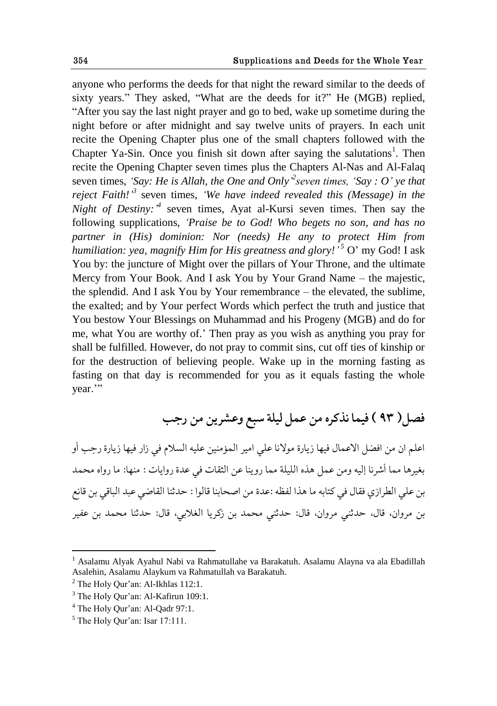anyone who performs the deeds for that night the reward similar to the deeds of sixty years." They asked, "What are the deeds for it?" He (MGB) replied, "After you say the last night prayer and go to bed, wake up sometime during the night before or after midnight and say twelve units of prayers. In each unit recite the Opening Chapter plus one of the small chapters followed with the Chapter Ya-Sin. Once you finish sit down after saying the salutations<sup>1</sup>. Then recite the Opening Chapter seven times plus the Chapters Al-Nas and Al-Falaq seven times, *'Say: He is Allah, the One and Only*<sup>2</sup> *seven times, 'Say : O' ye that reject Faith!*<sup>3</sup> seven times, *'We have indeed revealed this (Message) in the Night of Destiny*:<sup>4</sup> seven times, Ayat al-Kursi seven times. Then say the following supplications, *"Praise be to God! Who begets no son, and has no partner in (His) dominion: Nor (needs) He any to protect Him from humiliation: yea, magnify Him for His greatness and glory!" <sup>5</sup>* O" my God! I ask You by: the juncture of Might over the pillars of Your Throne, and the ultimate Mercy from Your Book. And I ask You by Your Grand Name – the majestic, the splendid. And I ask You by Your remembrance – the elevated, the sublime, the exalted; and by Your perfect Words which perfect the truth and justice that You bestow Your Blessings on Muhammad and his Progeny (MGB) and do for me, what You are worthy of." Then pray as you wish as anything you pray for shall be fulfilled. However, do not pray to commit sins, cut off ties of kinship or for the destruction of believing people. Wake up in the morning fasting as fasting on that day is recommended for you as it equals fasting the whole year.""

فصل( ٩٣ ) فيما نذكره من عمل ليلة سبع وعشرين من رجب

اعلم ان من افضل الاعمال فيها زيارة مولانا على امير المؤمنين عليه السلام في زار فيها زيارة رجب أو بغيرها مما أشرنا إليه ومن عمل هذه الليلة مما روينا عن الثقات في عدة روايات : منها: ما رواه محمد بن علي الطرازي فقال في كتابه ما هذا لفظه :عدة من اصحابنا قالوا : حدثنا القاضي عبد الباقي بن قانع بن مروان، قال، حدثني مروان، قال: حدثني محمد بن زكريا الغلابي، قال: حدثنا محمد بن عفير

<u>.</u>

<sup>&</sup>lt;sup>1</sup> Asalamu Alyak Ayahul Nabi va Rahmatullahe va Barakatuh. Asalamu Alayna va ala Ebadillah Asalehin, Asalamu Alaykum va Rahmatullah va Barakatuh.

<sup>&</sup>lt;sup>2</sup> The Holy Qur'an: Al-Ikhlas 112:1.

 $3$  The Holy Our'an: Al-Kafirun 109:1.

<sup>&</sup>lt;sup>4</sup> The Holy Qur'an: Al-Qadr 97:1.

 $<sup>5</sup>$  The Holy Our'an: Isar 17:111.</sup>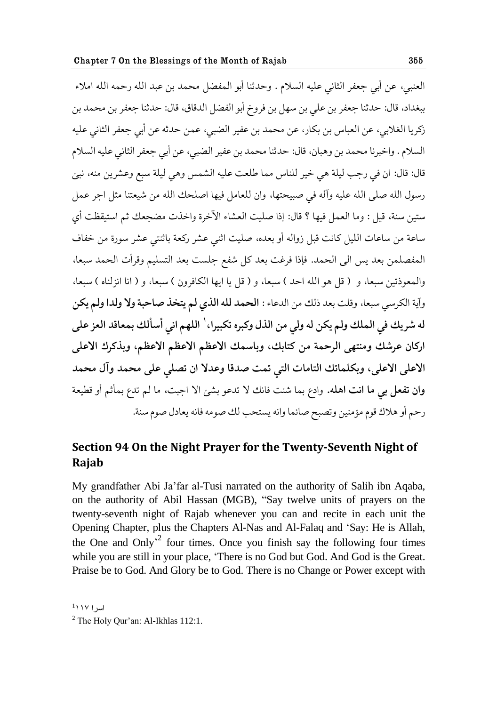العنبي، عن أبي جعفر الثاني عليه السلام . وحدثنا أبو المفضل محمد بن عبد الله رحمه الله املاء ببغداد، قال: حدثنا جعفر بن علي بن سهل بن فروخ أبو الفضل الدقاق، قال: حدثنا جعفر بن محمد بن زكريا الغلابي، عن العباس بن بكار، عن محمد بن عفير الضبي، عمن حدثه عن أبي جعفر الثاني عليه السلام . واخبرنا محمد بن وهبان، قال: حدثنا محمد بن عفير الضبي، عن أبي جعفر الثاني عليه السلام قال: قال: ان في رجب ليلة هي خير للناس مما طلعت عليه الشمس وهي ليلة سبع وعشرين منه، نبئ رسول الله صلى الله عليه وآله في صبيحتها، وان للعامل فيها اصلحك الله من شيعتنا مثل اجر عمل ستين سنة، قيل : وما العمل فيها ؟ قال: إذا صليت العشاء الآخرة واخذت مضجعك ثم استيقظت أي ساعة من ساعات الليل كانت قبل زواله أو بعده، صليت اثني عشر ركعة باثنتي عشر سورة من خفاف المفصلمن بعد يس الى الحمد. فإذا فرغت بعد كل شفع جلست بعد التسليم وقرأت الحمد سبعا، والمعوذتين سبعاً، و ( قل هو الله احد ) سبعاً، و ( قل يا ايها الكافرون ) سبعاً، و ( انا انزلناه ) سبعاً، وآية الكرسي سبعا، وقلت بعد ذلك من الدعاء : ا**لحمد لله الذي لم يتخذ صاحبة ولا ولدا ولم يكن** له شريك في الملك ولم يكن له ولي من الذل وكبره تكبيرا، \ اللهم اني أسألك بمعاقد العز على اركان عرشك ومنتهى الرحمة من كتابك، وباسمك الاعظم الاعظم الاعظم، وبذكرك الاعلى الاعلى الاعلى، وبكلماتك التامات التي تمت صدقا وعدلا ان تصلى على محمد وآل محمد و**ان تفعل بي ما انت اهله.** وادع بما شئت فانك لا تدعو بشئ الا اجبت، ما لـم تدع بمأثم أو قطيعة رحم أو هلاك قوم مؤمنين وتصبح صائما وانه يستحب لك صومه فانه يعادل صوم سنة.

#### **Section 94 On the Night Prayer for the Twenty-Seventh Night of Rajab**

My grandfather Abi Ja"far al-Tusi narrated on the authority of Salih ibn Aqaba, on the authority of Abil Hassan (MGB), "Say twelve units of prayers on the twenty-seventh night of Rajab whenever you can and recite in each unit the Opening Chapter, plus the Chapters Al-Nas and Al-Falaq and "Say: He is Allah, the One and Only<sup> $2$ </sup> four times. Once you finish say the following four times while you are still in your place, "There is no God but God. And God is the Great. Praise be to God. And Glory be to God. There is no Change or Power except with

 1 اسرا 991

 $2$  The Holy Our'an: Al-Ikhlas 112:1.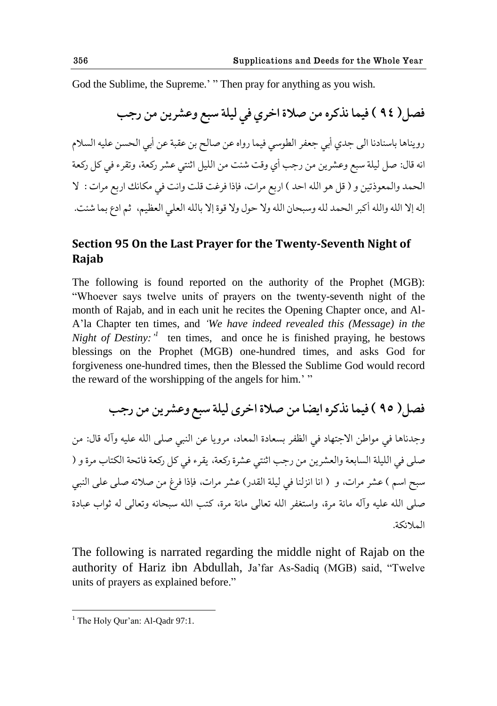God the Sublime, the Supreme.' " Then pray for anything as you wish.

فصل( ٩٤ ) فيما نذكره من صلاة اخرى في ليلة سبع وعشرين من رجب رويناها باسنادنا الي جدي أبي جعفر الطوسي فيما رواه عن صالح بن عقبة عن أبي الحسن عليه السلام انه قال: صل ليلة سبع وعشرين من رجب أي وقت شئت من الليل اثنتي عشر ركعة، وتقرء في كل ركعة الحمد والمعوذتين و ( قل هو الله احد ) اربع مرات، فإذا فرغت قلت وانت في مكانك اربع مرات : لا إله إلا الله والله أكبر الحمد لله وسبحان الله ولا حول ولا قوة إلا بالله العلى العظيم، ثم ادع بما شئت.

#### **Section 95 On the Last Prayer for the Twenty-Seventh Night of Rajab**

The following is found reported on the authority of the Prophet (MGB): "Whoever says twelve units of prayers on the twenty-seventh night of the month of Rajab, and in each unit he recites the Opening Chapter once, and Al-A"la Chapter ten times, and *"We have indeed revealed this (Message) in the Night of Destiny:*<sup> $1$ </sup> ten times, and once he is finished praying, he bestows blessings on the Prophet (MGB) one-hundred times, and asks God for forgiveness one-hundred times, then the Blessed the Sublime God would record the reward of the worshipping of the angels for him.' "

فصل( ٩٥ ) فيما نذكره ايضا من صلاة اخرى ليلة سبع وعشرين من رجب

وجدناها في مواطن الاجتهاد في الظفر بسعادة المعاد، مرويا عن النبي صلى الله عليه وآله قال: من صلى في الليلة السابعة والعشرين من رجب اثنتي عشرة ركعة، يقرء في كل ركعة فاتحة الكتاب مرة و ( سبح اسم ) عشر مرات، و ( انا انزلنا في ليلة القدر) عشر مرات، فإذا فرغ من صلاته صلى على النبي صلى الله عليه وآله مائة مرة، واستغفر الله تعالى مائة مرة، كتب الله سبحانه وتعالى له ثواب عبادة حلمالثكة.

The following is narrated regarding the middle night of Rajab on the authority of Hariz ibn Abdullah, Ja"far As-Sadiq (MGB) said, "Twelve units of prayers as explained before."

 $<sup>1</sup>$  The Holy Qur'an: Al-Qadr 97:1.</sup>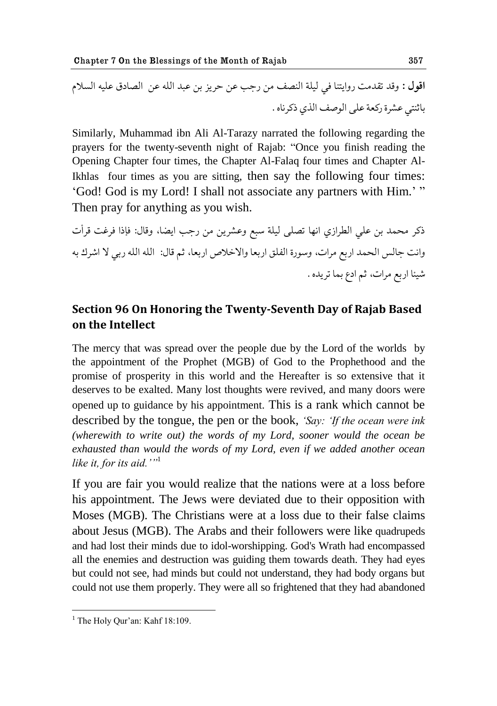**ح٬ىل :** و٬ؿ ج٭ؿهث قوحيحًا ٨ي ليلة حل٧ًّ هى قشب ٠ى ظكيم بى ٠بؿ حلله ٠ى حلّاؾ٪ ٠ليه حلىالم باذًحي ٍ٠كة قك١ة ٠لى حلى٧ِ حلفي ـككياه .

Similarly, Muhammad ibn Ali Al-Tarazy narrated the following regarding the prayers for the twenty-seventh night of Rajab: "Once you finish reading the Opening Chapter four times, the Chapter Al-Falaq four times and Chapter Al-Ikhlas four times as you are sitting, then say the following four times: 'God! God is my Lord! I shall not associate any partners with Him.'" Then pray for anything as you wish.

ذكر محمد بن على الطرازي انها تصلّمي ليلة سبع وعشرين من رجب ايضا، وقال: فإذا فرغت قرأت وانت جالس الحمد اربع مرات، وسورة الفلق اربعا والاخلاص اربعا، ثم قال: الله الله ربي لا اشرك به شيئا اربع مرات، ثم ادع بما تريده .

#### **Section 96 On Honoring the Twenty-Seventh Day of Rajab Based on the Intellect**

The mercy that was spread over the people due by the Lord of the worlds by the appointment of the Prophet (MGB) of God to the Prophethood and the promise of prosperity in this world and the Hereafter is so extensive that it deserves to be exalted. Many lost thoughts were revived, and many doors were opened up to guidance by his appointment. This is a rank which cannot be described by the tongue, the pen or the book, *"Say: "If the ocean were ink (wherewith to write out) the words of my Lord, sooner would the ocean be exhausted than would the words of my Lord, even if we added another ocean like it, for its aid.""*<sup>1</sup>

If you are fair you would realize that the nations were at a loss before his appointment. The Jews were deviated due to their opposition with Moses (MGB). The Christians were at a loss due to their false claims about Jesus (MGB). The Arabs and their followers were like quadrupeds and had lost their minds due to idol-worshipping. God's Wrath had encompassed all the enemies and destruction was guiding them towards death. They had eyes but could not see, had minds but could not understand, they had body organs but could not use them properly. They were all so frightened that they had abandoned

 $<sup>1</sup>$  The Holy Qur'an: Kahf 18:109.</sup>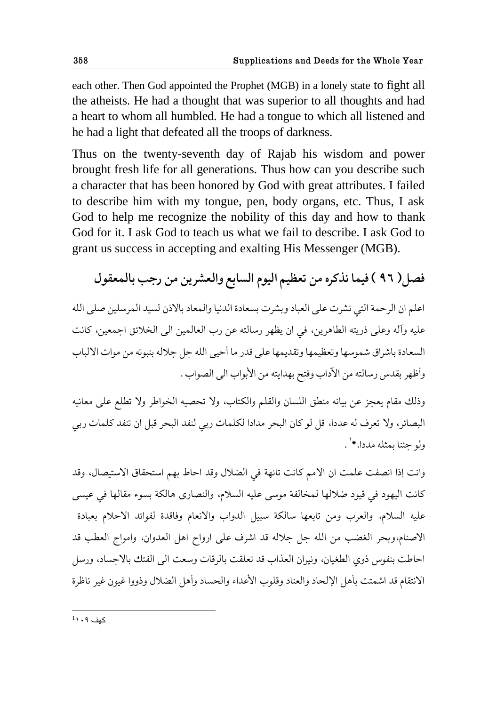each other. Then God appointed the Prophet (MGB) in a lonely state to fight all the atheists. He had a thought that was superior to all thoughts and had a heart to whom all humbled. He had a tongue to which all listened and he had a light that defeated all the troops of darkness.

Thus on the twenty-seventh day of Rajab his wisdom and power brought fresh life for all generations. Thus how can you describe such a character that has been honored by God with great attributes. I failed to describe him with my tongue, pen, body organs, etc. Thus, I ask God to help me recognize the nobility of this day and how to thank God for it. I ask God to teach us what we fail to describe. I ask God to grant us success in accepting and exalting His Messenger (MGB).

فصل( ٩٦ ) فيما نذكره من تعظيم اليوم السابع والعشرين من رجب بالمعقول

اعلم ان الرحمة التي نشرت على العباد وبشرت بسعادة الدنيا والمعاد بالاذن لسيد المرسلين صلى الله عليه وآله وعلى ذريته الطاهرين، في ان يظهر رسالته عن رب العالمين الى الخلائق اجمعين، كانت السعادة باشراق شموسها وتعظيمها وتقديمها على قدر ما أحيى الله جل جلاله بنبوته من موات الالباب وأظهر بقدس رسالته من الآداب وفتح بهدايته من الأبواب الي الصواب .

وذلك مقام يعجز عن بيانه منطق اللسان والقلم والكتاب، ولا تحصيه الخواطر ولا تطلع على معانيه البصائر، ولا تعرف له عددا، قل لو كان البحر مدادا لكلمات ربي لنفد البحر قبل ان تنفد كلمات ربي ولو جئنا بمثله مددا.\*<sup>١</sup> .

وانت إذا انصفت علمت ان الامم كانت تائهة في الضلال وقد احاط بهم استحقاق الاستيصال، وقد كانت اليهود في قيود ضلالها لمخالفة موسى عليه السلام، والنصارى هالكة بسوء مقالها في عيسى عليه السلام، والعرب ومن تابعها سالكة سبيل الدواب والانعام وفاقدة لفوائد الاحلام بعبادة الاصنام،وبحر الغضب من الله جل جلاله قد اشرف على ارواح اهل العدوان، وامواج العطب قد احاطت بنفوس ذوي الطغيان، ونيران العذاب قد تعلقت بالرقات وسعت الى الفتك بالاجساد، ورسل الانتقام قد اشمتت بأهل الإلحاد والعناد وقلوب الأعداء والحساد وأهل الضلال وذووا غيون غير ناظرة

1 کِف 909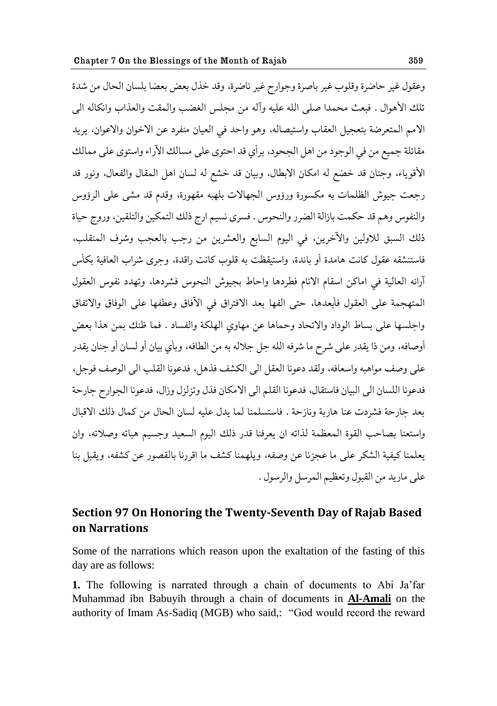وعقول غير حاضرة وقلوب غير باِصرة وحوارح غير ناضرة، وقِد خذل بعض بعضا بِلسان الحال من شدة تلك الأهوال . فبعث محمدا صلى الله عليه وآله من مجلس الغضب والمقت والعذاب وانكاله الى الامم المتعرضة بتعجيل العقاب واستيصاله، وهو واحد في العيان منفرد عن الاخوان والاعوان، يريد مقاتلة جميع من في الوجود من اهل الجحود، برأي قد احتوى على مسالك الآراء واستوى على ممالك الأقوياء، وجنان قد خضع له امكان الابطال، وبيان قد خشع له لسان اهل المقال والفعال، ونور قد رجعت جيوش الظلمات به مكسورة ورؤوس الجهالات بلهبه مقهورة، وقدم قد مشى على الرؤوس والنفوس وهم قد حكمت بازالة الضرر والنحوس . فسرى نسيم ارج ذلك التمكين والتلقين، وروج حياة ذلك السبق للاولين والآخرين، في اليوم السابع والعشرين من رجب بالعجب وشرف المنقلب، فاستنشقه عقول كانت هامدة أو بائدة، واستيقظت به قلوب كانت راقدة، وجرى شراب العافية بكأس آرائه العالية في اماكن اسقام الانام فطردها واحاط بجيوش النحوس فشردها، وتهدد نفوس العقول المتهجمة على العقول فأبعدها، حتى الفها بعد الافتراق في الآفاق وعطفها على الوفاق والاتفاق واجلسها على بساط الوداد والاتحاد وحماها عن مهاوي الهلكة والفساد . فما ظنك بمن هذا بعض أوصافه، ومن ذا يقدر على شرح ما شرفه الله جل جلاله به من الطافه، وبأي بيان أو لسان أو جنان يقدر على وصف مواهبه واسعافه، ولقد دعونا العقل الى الكشف فذهل، فدعونا القلب الى الوصف فوجل، فدعونا اللسان الى البيان فاستقال، فدعونا القلم الى الامكان فذل وتزلزل وزال، فدعونا الجوارح جارحة بعد جارحة فشردت عنا هاربة ونازحة . فاستسلمنا لما يدل عليه لسان الحال من كمال ذلك الاقبال واستعنا بصاحب القوة المعظمة لذاته ان يعرفنا قدر ذلك اليوم السعيد وحِسيم هباته وصلاته، وان يعلمنا كيفية الشكر على ما عجزنا عن وصفه، ويلهمنا كشف ما اقررنا بالقصور عن كشفه، ويقيل بنا على ماريد من القيول وتعظيم المرسل والرسول .

#### **Section 97 On Honoring the Twenty-Seventh Day of Rajab Based on Narrations**

Some of the narrations which reason upon the exaltation of the fasting of this day are as follows:

**1.** The following is narrated through a chain of documents to Abi Ja"far Muhammad ibn Babuyih through a chain of documents in **Al-Amali** on the authority of Imam As-Sadiq (MGB) who said,: "God would record the reward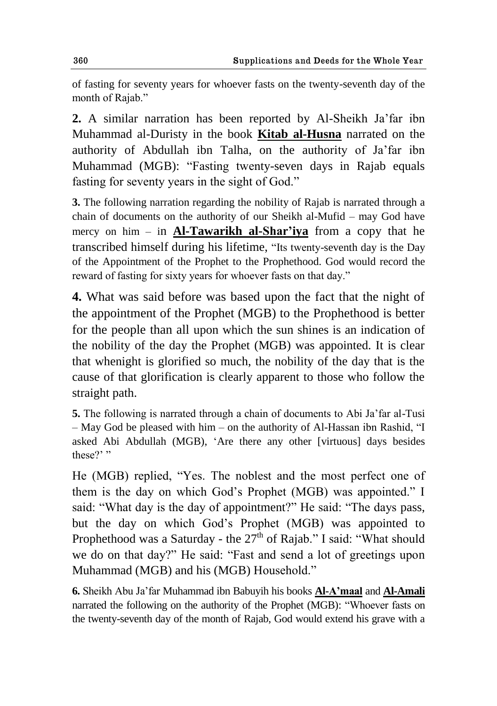of fasting for seventy years for whoever fasts on the twenty-seventh day of the month of Rajab."

**2.** A similar narration has been reported by Al-Sheikh Ja"far ibn Muhammad al-Duristy in the book **Kitab al-Husna** narrated on the authority of Abdullah ibn Talha, on the authority of Ja"far ibn Muhammad (MGB): "Fasting twenty-seven days in Rajab equals fasting for seventy years in the sight of God."

**3.** The following narration regarding the nobility of Rajab is narrated through a chain of documents on the authority of our Sheikh al-Mufid – may God have mercy on him – in **Al-Tawarikh al-Shar'iya** from a copy that he transcribed himself during his lifetime, "Its twenty-seventh day is the Day of the Appointment of the Prophet to the Prophethood. God would record the reward of fasting for sixty years for whoever fasts on that day."

**4.** What was said before was based upon the fact that the night of the appointment of the Prophet (MGB) to the Prophethood is better for the people than all upon which the sun shines is an indication of the nobility of the day the Prophet (MGB) was appointed. It is clear that whenight is glorified so much, the nobility of the day that is the cause of that glorification is clearly apparent to those who follow the straight path.

**5.** The following is narrated through a chain of documents to Abi Ja"far al-Tusi – May God be pleased with him – on the authority of Al-Hassan ibn Rashid, "I asked Abi Abdullah (MGB), "Are there any other [virtuous] days besides these?"

He (MGB) replied, "Yes. The noblest and the most perfect one of them is the day on which God"s Prophet (MGB) was appointed." I said: "What day is the day of appointment?" He said: "The days pass, but the day on which God"s Prophet (MGB) was appointed to Prophethood was a Saturday - the  $27<sup>th</sup>$  of Rajab." I said: "What should we do on that day?" He said: "Fast and send a lot of greetings upon Muhammad (MGB) and his (MGB) Household."

**6.** Sheikh Abu Ja"far Muhammad ibn Babuyih his books **Al-A'maal** and **Al-Amali** narrated the following on the authority of the Prophet (MGB): "Whoever fasts on the twenty-seventh day of the month of Rajab, God would extend his grave with a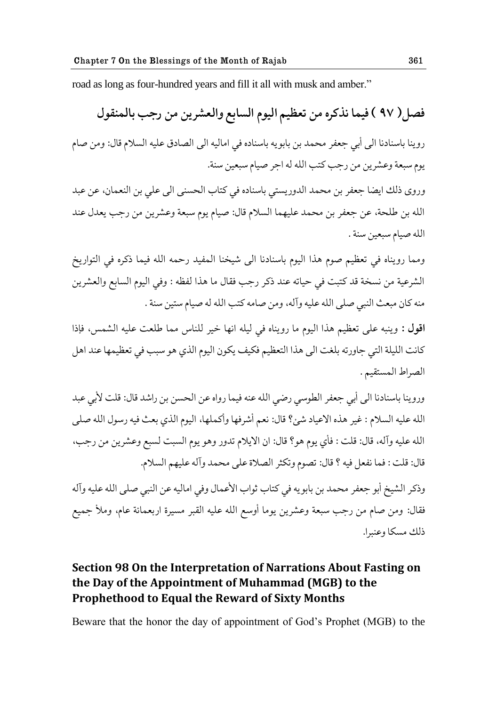road as long as four-hundred years and fill it all with musk and amber."

فصل( ٩٧ ) فيما نذكره من تعظيم اليوم السابع والعشرين من رجب بالمنقول روينا باسنادنا الي أبي جعفر محمد بن بابويه باسناده في اماليه الي الصادق عليه السلام قال: ومن صام يوم سبعة وعشرين من رجب كتب الله له اجر صيام سبعين سنة.

وروى ذلك ايضا جعفر بن محمد الدوريستي باسناده في كتاب الحسنى الى على بن النعمان، عن عبد الله بن طلحة، عن جعفر بن محمد عليهما السلام قال: صيام يوم سبعة وعشرين من رجب يعدل عند الله صيام سبعين سنة .

ومما رويناه في تعظيم صوم هذا اليوم باسنادنا الى شيخنا المفيد رحمه الله فيما ذكره في التواريخ الشرعية من نسخة قد كتبت في حياته عند ذكر رجب فقال ما هذا لفظه : وفي اليوم السابع والعشرين منه كان مبعث النبي صلى الله عليه وآله، ومن صامه كتب الله له صيام ستين سنة .

اقول : وينبه على تعظيم هذا اليوم ما رويناه في ليله انها خير للناس مما طلعت عليه الشمس، فإذا كانت الليلة التي جاورته بلغت الى هذا التعظيم فكيف يكون اليوم الذي هو سبب في تعظيمها عند اهل الصراط المستقيم .

وروينا باسنادنا الي أبي جعفر الطوسي رضي الله عنه فيما رواه عن الحسن بن راشد قال: قلت لأبي عبد الله عليه السلام : غير هذه الاعياد شئ؟ قال: نعم أشرفها وأكملها، اليوم الذي بعث فيه رسول الله صلى الله عليه وآله، قال: قلت : فأي يوم هو؟ قال: ان الايلام تدور وهو يوم السبت لسبع وعشرين من رجب، قال: قلت : فما نفعل فيه ؟ قال: تصوم وتكثر الصلاة على محمد وآله عليهم السلام.

وذكر الشيخ أبو جعفر محمد بن بابويه في كتاب ثواب الأعمال وفي اماليه عن النبي صلى الله عليه وآله فقال: ومن صام من رجب سبعة وعشرين يوما أوسع الله عليه القبر مسيرة اربعمائة عام، وملأ جميع ذلك مسكا وعنبرا.

## **Section 98 On the Interpretation of Narrations About Fasting on the Day of the Appointment of Muhammad (MGB) to the Prophethood to Equal the Reward of Sixty Months**

Beware that the honor the day of appointment of God"s Prophet (MGB) to the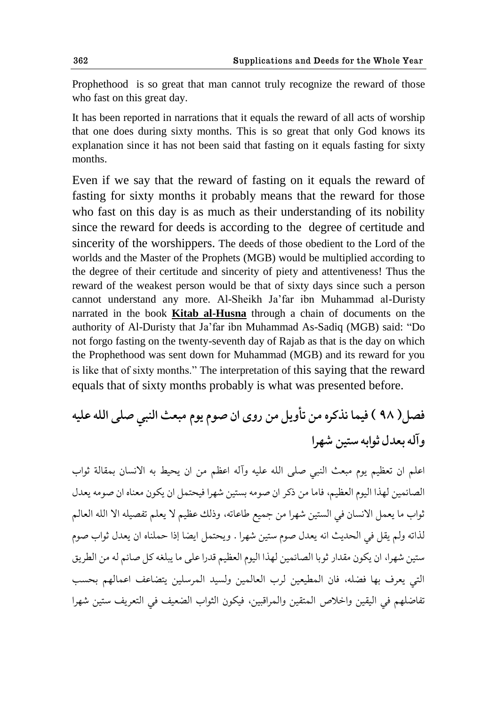Prophethood is so great that man cannot truly recognize the reward of those who fast on this great day.

It has been reported in narrations that it equals the reward of all acts of worship that one does during sixty months. This is so great that only God knows its explanation since it has not been said that fasting on it equals fasting for sixty months.

Even if we say that the reward of fasting on it equals the reward of fasting for sixty months it probably means that the reward for those who fast on this day is as much as their understanding of its nobility since the reward for deeds is according to the degree of certitude and sincerity of the worshippers. The deeds of those obedient to the Lord of the worlds and the Master of the Prophets (MGB) would be multiplied according to the degree of their certitude and sincerity of piety and attentiveness! Thus the reward of the weakest person would be that of sixty days since such a person cannot understand any more. Al-Sheikh Ja"far ibn Muhammad al-Duristy narrated in the book **Kitab al-Husna** through a chain of documents on the authority of Al-Duristy that Ja"far ibn Muhammad As-Sadiq (MGB) said: "Do not forgo fasting on the twenty-seventh day of Rajab as that is the day on which the Prophethood was sent down for Muhammad (MGB) and its reward for you is like that of sixty months." The interpretation of this saying that the reward equals that of sixty months probably is what was presented before.

**ّ٨ل) 98 ( ٨يما يفکكه هى جؤویل هى قوى حو ِىم یىم هب١د حلًبي ِلى حلله ٠ليه وآله ب١ؿل ذىحبه وحيى ٌهكح** 

اعلم ان تعظيم يوم مبعث النبي صلى الله عليه وآله اعظم من ان يحيط به الانسان بمقالة ثواب الصائمين لهذا اليوم العظيم، فاما من ذكر ان صومه بستين شهرا فيحتمل ان يكون معناه ان صومه يعدل ثواب ما يعمل الانسان في الستين شهرا من جميع طاعاته، وذلك عظيم لا يعلم تفصيله الا الله العالم لذاته ولم يقل في الحديث انه يعدل صوم ستين شهرا . ويحتمل ايضا إذا حملناه ان يعدل ثواب صوم ستين شهرا، ان يكون مقدار ثوبا الصائمين لهذا اليوم العظيم قدرا على ما يبلغه كل صائم له من الطريق التي يعرف بها فضله، فان المطيعين لرب العالمين ولسيد المرسلين يتضاعف اعمالهم بحسب تفاضلهم في اليقين واخلاص المتقين والمراقبين، فيكون الثواب الضعيف في التعريف ستين شهرا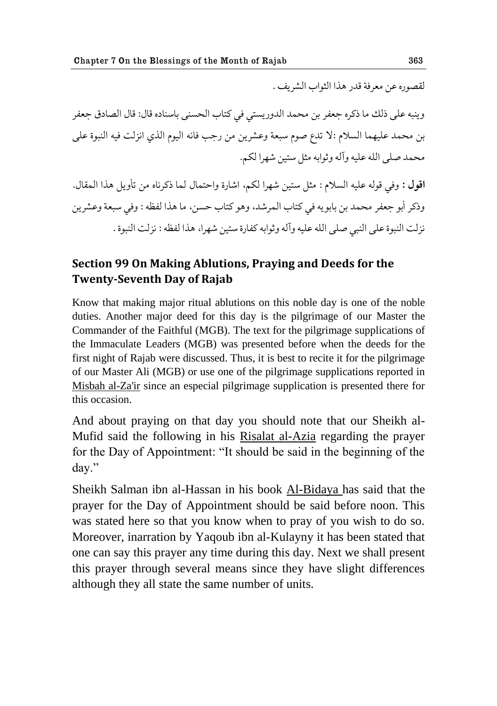لقصوره عن معرفة قدر هذا الثواب الشريف .

وينبه على ذلك ما ذكره جعفر بن محمد الدوريستي في كتاب الحسنى باسناده قال: قال الصادق جعفر بن محمد عليهما السلام :لا تدع صوم سبعة وعشرين من رجب فانه اليوم الذي انزلت فيه النبوة على محمد صلى الله عليه وآله وثوابه مثل ستين شهرا لكم.

اقول : وفي قوله عليه السلام : مثل ستين شهرا لكم، اشارة واحتمال لما ذكرناه من تأويل هذا المقال. وذكر أبو جعفر محمد بن بابويه في كتاب المرشد، وهو كتاب حسن، ما هذا لفظه : وفي سبعة وعشرين نزلت النبوة على النبي صلى الله عليه وآله وثوابه كفارة ستين شهرا، هذا لفظه : نزلت النبوة .

## **Section 99 On Making Ablutions, Praying and Deeds for the Twenty-Seventh Day of Rajab**

Know that making major ritual ablutions on this noble day is one of the noble duties. Another major deed for this day is the pilgrimage of our Master the Commander of the Faithful (MGB). The text for the pilgrimage supplications of the Immaculate Leaders (MGB) was presented before when the deeds for the first night of Rajab were discussed. Thus, it is best to recite it for the pilgrimage of our Master Ali (MGB) or use one of the pilgrimage supplications reported in Misbah al-Za'ir since an especial pilgrimage supplication is presented there for this occasion.

And about praying on that day you should note that our Sheikh al-Mufid said the following in his Risalat al-Azia regarding the prayer for the Day of Appointment: "It should be said in the beginning of the day."

Sheikh Salman ibn al-Hassan in his book Al-Bidaya has said that the prayer for the Day of Appointment should be said before noon. This was stated here so that you know when to pray of you wish to do so. Moreover, inarration by Yaqoub ibn al-Kulayny it has been stated that one can say this prayer any time during this day. Next we shall present this prayer through several means since they have slight differences although they all state the same number of units.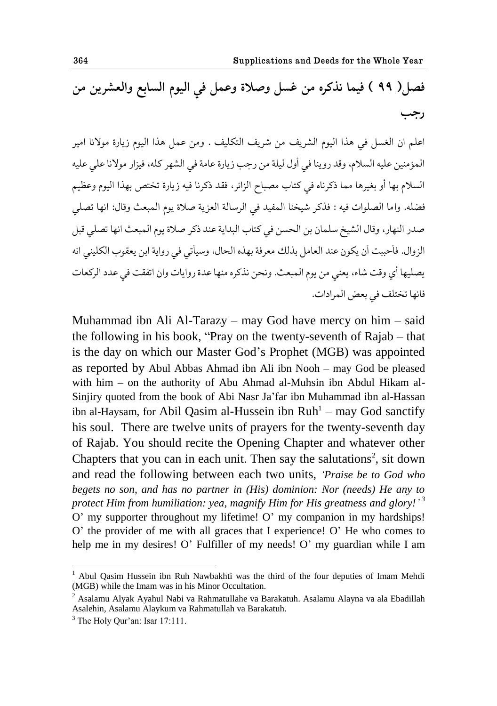# فصل ( ٩٩ ) فيما نذكره من غسل وصلاة وعمل في اليوم السابع والعشرين من **قشب**

اعلم ان الغسل في هذا اليوم الشريف من شريف التكليف . ومن عمل هذا اليوم زيارة مولانا امير المؤمنين عليه السلام، وقد روينا في أول ليلة من رجب زيارة عامة في الشهر كله، فيزار مولانا على عليه السلام بها أو بغيرها مما ذكرناه في كتاب مصباح الزائر، فقد ذكرنا فيه زيارة تختص بهذا اليوم وعظيم فضله. واما الصلوات فيه : فذكر شيخنا المفيد في الرسالة العزية صلاة يوم المبعث وقال: انها تصلي صدر النهار، وقال الشيخ سلمان بن الحسن في كتاب البداية عند ذكر صلاة يوم المبعث انها تصلي قبل الزوال. فأحببت أن يكون عند العامل بذلك معرفة بهذه الحال، وسيأتي في رواية ابن يعقوب الكليني انه يصليها أي وقت شاء، يعني من يوم المبعث. ونحن نذكره منها عدة روايات وان اتفقت في عدد الركعات فانها تختلف في بعض المرادات.

Muhammad ibn Ali Al-Tarazy – may God have mercy on him – said the following in his book, "Pray on the twenty-seventh of Rajab – that is the day on which our Master God"s Prophet (MGB) was appointed as reported by Abul Abbas Ahmad ibn Ali ibn Nooh – may God be pleased with him – on the authority of Abu Ahmad al-Muhsin ibn Abdul Hikam al-Sinjiry quoted from the book of Abi Nasr Ja"far ibn Muhammad ibn al-Hassan ibn al-Haysam, for Abil Qasim al-Hussein ibn Ruh<sup>1</sup> - may God sanctify his soul. There are twelve units of prayers for the twenty-seventh day of Rajab. You should recite the Opening Chapter and whatever other Chapters that you can in each unit. Then say the salutations<sup>2</sup>, sit down and read the following between each two units, *"Praise be to God who begets no son, and has no partner in (His) dominion: Nor (needs) He any to protect Him from humiliation: yea, magnify Him for His greatness and glory!" 3* O' my supporter throughout my lifetime! O' my companion in my hardships! O" the provider of me with all graces that I experience! O" He who comes to help me in my desires! O' Fulfiller of my needs! O' my guardian while I am

<sup>&</sup>lt;sup>1</sup> Abul Qasim Hussein ibn Ruh Nawbakhti was the third of the four deputies of Imam Mehdi (MGB) while the Imam was in his Minor Occultation.

<sup>2</sup> Asalamu Alyak Ayahul Nabi va Rahmatullahe va Barakatuh. Asalamu Alayna va ala Ebadillah Asalehin, Asalamu Alaykum va Rahmatullah va Barakatuh.

 $3$  The Holy Our'an: Isar 17:111.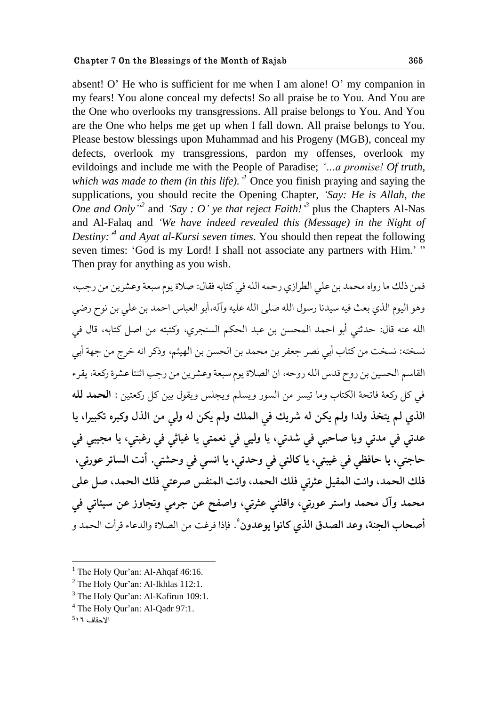absent! O' He who is sufficient for me when I am alone! O' my companion in my fears! You alone conceal my defects! So all praise be to You. And You are the One who overlooks my transgressions. All praise belongs to You. And You are the One who helps me get up when I fall down. All praise belongs to You. Please bestow blessings upon Muhammad and his Progeny (MGB), conceal my defects, overlook my transgressions, pardon my offenses, overlook my evildoings and include me with the People of Paradise; *"…a promise! Of truth,*  which was made to them (in this life).<sup>1</sup> Once you finish praying and saying the supplications, you should recite the Opening Chapter, *"Say: He is Allah, the One and Only*<sup>2</sup> and 'Say : O' ye that reject Faith!<sup>3</sup> plus the Chapters Al-Nas and Al-Falaq and *"We have indeed revealed this (Message) in the Night of Destiny:" 4 and Ayat al-Kursi seven times*. You should then repeat the following seven times: 'God is my Lord! I shall not associate any partners with Him.' " Then pray for anything as you wish.

فمن ذلك ما رواه محمد بن على الطرازي رحمه الله في كتابه فقال: صلاة يوم سبعة وعشرين من رحب، وهو اليوم الذي بعث فيه سيدنا رسول الله صلى الله عليه وآله،أبو العباس احمد بن على بن نوح رضي الله عنه قال: حدثني أبو احمد المحسن بن عبد الحكم السنجري، وكتبته من اصل كتابه، قال في نسخته: نسخت من كتاب أبي نصر جعفر بن محمد بن الحسن بن الهيثم، وذكر انه خرج من جهة أبي القاسم الحسين بن روح قدس الله روحه، ان الصلاة يوم سبعة وعشرين من رجب اثنتا عشرة ركعة، يقرء في كل ركعة فاتحة الكتاب وما تيسر من السور ويسلم ويجلس ويقول بين كل ركعتين : **الحمد لله** الذي لم يتخذ ولدا ولم يكن له شريك في الملك ولم يكن له ولي من الذل وكبره تكبيرا، يا **٠ؿجي ٨ي هؿجي ویا ِاظبي ٨ي ٌؿجي، یا وليي ٨ي ي١محي یا ٤ياذي ٨ي ق٤بحي، یا هصيبي ٨ي**  حاجتي، يا حافظي في غيبتي، يا كالئي في وحدتي، يا انسي في وحشتي. أنت الساتر عورتي، فلك الحمد، وانت المقيل عثرتي فلك الحمد، وانت المنفس صرعتى فلك الحمد، صل على محمد وآل محمد واستر عورتي، واقلني عثرتي، واصفح عن جرمي وتجاوز عن سيئاتي في **أصحاب الجنة، وعد الصدق الذي كانوا يوعدون** ْ. فإذا فرغت من الصلاة والدعاء قرأت الحمد و

<u>.</u>

 $<sup>1</sup>$  The Holy Qur'an: Al-Ahqaf 46:16.</sup>

<sup>&</sup>lt;sup>2</sup> The Holy Qur'an: Al-Ikhlas 112:1.

 $3$  The Holy Qur'an: Al-Kafirun 109:1.

<sup>&</sup>lt;sup>4</sup> The Holy Qur'an: Al-Qadr 97:1.

الاحقاف 11<sup>5</sup>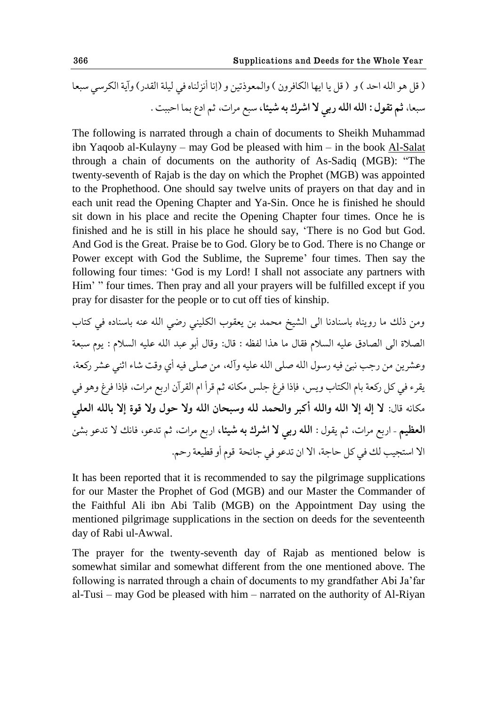) ٬ل هى حلله حظؿ ( و ) ٬ل يا حيها حلكا٨كوو ( وحلم١ىـجيى و )ايا أيملًاه ٨ي ليلة حل٭ؿق( وآية حلككوي وب١ا وب١ا، **ذن ج٭ىل : حلله حلله قبي ال حٌكٮ به ٌيجا،** وبٟ هكحت، ذن حؾٞ بما حظببث .

The following is narrated through a chain of documents to Sheikh Muhammad ibn Yaqoob al-Kulayny – may God be pleased with him – in the book Al-Salat through a chain of documents on the authority of As-Sadiq (MGB): "The twenty-seventh of Rajab is the day on which the Prophet (MGB) was appointed to the Prophethood. One should say twelve units of prayers on that day and in each unit read the Opening Chapter and Ya-Sin. Once he is finished he should sit down in his place and recite the Opening Chapter four times. Once he is finished and he is still in his place he should say, "There is no God but God. And God is the Great. Praise be to God. Glory be to God. There is no Change or Power except with God the Sublime, the Supreme' four times. Then say the following four times: "God is my Lord! I shall not associate any partners with Him' " four times. Then pray and all your prayers will be fulfilled except if you pray for disaster for the people or to cut off ties of kinship.

وهى ـلٯ ها قويًاه باوًاؾيا حلى حلٍيػ هعمؿ بى ي١٭ىب حلكليًي قٔي حلله ً٠ه باوًاؾه ٨ي كحاب حلّالة حلى حلّاؾ٪ ٠ليه حلىالم ٨٭ال ها هفح لٝ٩ه : ٬ال: و٬ال أبى ٠بؿ حلله ٠ليه حلىالم : يىم وب١ة وٍ٠كيى هى قشب يبت ٨يه قوىل حلله ِلى حلله ٠ليه وآله، هى ِلى ٨يه أي و٬ث ٌاء حذًي ٍ٠ك قك١ة، ي٭كء ٨ي كل قك١ة بام حلكحاب ويه، ٨بـح ٨ك٢ شله هكايه ذن ٬كأ حم حل٭كآو حقبٟ هكحت، ٨بـح ٨ك٢ وهى ٨ي هكايه ٬ال: **ال اله اال حلله وحلله أکبك وحلعمؿ لله ووبعاو حلله وال ظىل وال ٬ىة اال بالله حل١لي حلٝ١ين –** حقبٟ هكحت، ذن ي٭ىل : **حلله قبي ال حٌكٮ به ٌيجا،** حقبٟ هكحت، ذن جؿ٠ى، ٨ايٯ ال جؿ٠ى بٍت حال حوحصيب لٯ ٨ي كل ظاشة، حال حو جؿ٠ى ٨ي شاثعة ٬ىم أو ٙ٬ي١ة قظن.

It has been reported that it is recommended to say the pilgrimage supplications for our Master the Prophet of God (MGB) and our Master the Commander of the Faithful Ali ibn Abi Talib (MGB) on the Appointment Day using the mentioned pilgrimage supplications in the section on deeds for the seventeenth day of Rabi ul-Awwal.

The prayer for the twenty-seventh day of Rajab as mentioned below is somewhat similar and somewhat different from the one mentioned above. The following is narrated through a chain of documents to my grandfather Abi Ja"far al-Tusi – may God be pleased with him – narrated on the authority of Al-Riyan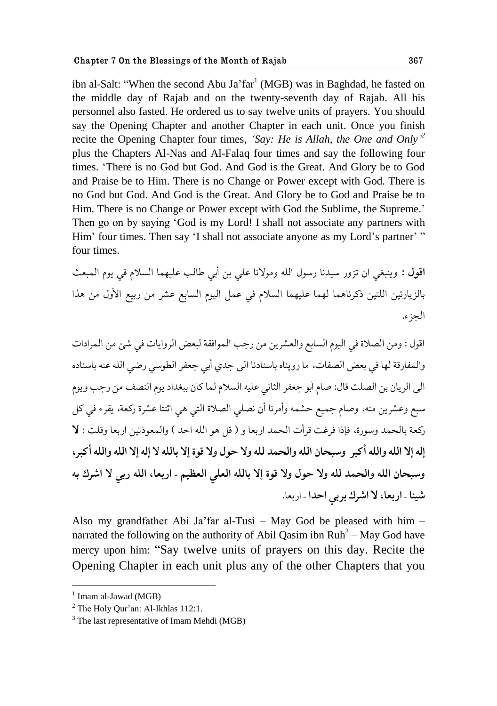ibn al-Salt: "When the second Abu Ja' $far^1$  (MGB) was in Baghdad, he fasted on the middle day of Rajab and on the twenty-seventh day of Rajab. All his personnel also fasted. He ordered us to say twelve units of prayers. You should say the Opening Chapter and another Chapter in each unit. Once you finish recite the Opening Chapter four times, *"Say: He is Allah, the One and Only" 2* plus the Chapters Al-Nas and Al-Falaq four times and say the following four times. "There is no God but God. And God is the Great. And Glory be to God and Praise be to Him. There is no Change or Power except with God. There is no God but God. And God is the Great. And Glory be to God and Praise be to Him. There is no Change or Power except with God the Sublime, the Supreme." Then go on by saying "God is my Lord! I shall not associate any partners with Him' four times. Then say 'I shall not associate anyone as my Lord's partner' " four times.

اقول : وينبغي ان تزور سيدنا رسول الله ومولانا على بن أبي طالب عليهما السلام في يوم المبعث بالزيارتين اللتين ذكرناهما لهما عليهما السلام في عمل اليوم السابع عشر من ربيع الأول من هذا الحزء.

اقول : ومن الصلاة في اليوم السابع والعشرين من رجب الموافقة لبعض الروايات في شئ من المرادات والمفارقة لها في بعض الصفات، ما رويناه باسنادنا الى جدى أبي جعفر الطوسي رضي الله عنه باسناده الي الريان بن الصلت قال: صام أبو جعفر الثاني عليه السلام لما كان ببغداد يوم النصف من رجب ويوم سبع وعشرين منه، وصام جميع حشمه وأمرنا أن نصلي الصلاة التي هي اثنتا عشرة ركعة، يقرء في كل ركعة بالحمد وسورة، فإذا فرغت قرأت الحمد اربعا و ( قل هو الله احد ) والمعوذتين اربعا وقلت : لا إله إلا الله والله أكبر وسبحان الله والحمد لله ولا حول ولا قوة إلا بالله لا إله إلا الله والله أكبر ، وسبحان الله والحمد لله ولا حول ولا قوة إلا بالله العلى العظيم - اربعا، الله ربي لا اشرك به شيئا - **اربعا، لا اشرك بربي احدا** - اربعا.

Also my grandfather Abi Ja"far al-Tusi – May God be pleased with him – narrated the following on the authority of Abil Qasim ibn  $\text{Ruh}^3 - \text{May}$  God have mercy upon him: "Say twelve units of prayers on this day. Recite the Opening Chapter in each unit plus any of the other Chapters that you

<sup>&</sup>lt;sup>1</sup> Imam al-Jawad (MGB)

 $<sup>2</sup>$  The Holy Qur'an: Al-Ikhlas 112:1.</sup>

 $3$  The last representative of Imam Mehdi (MGB)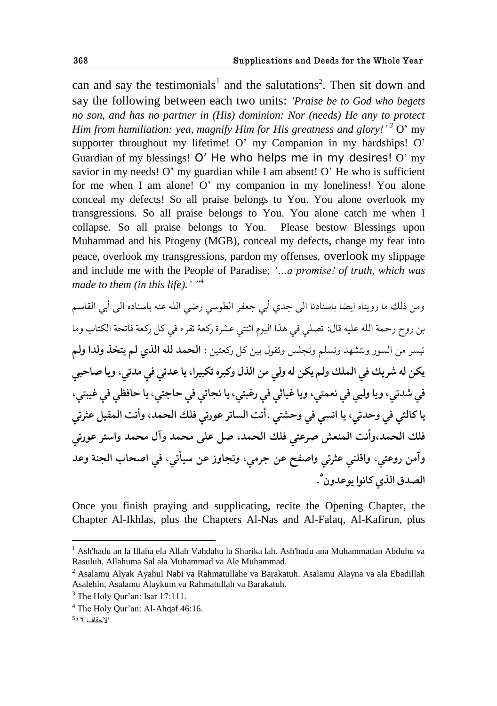can and say the testimonials<sup>1</sup> and the salutations<sup>2</sup>. Then sit down and say the following between each two units: *"Praise be to God who begets no son, and has no partner in (His) dominion: Nor (needs) He any to protect Him from humiliation: yea, magnify Him for His greatness and glory!" <sup>3</sup>* O" my supporter throughout my lifetime! O' my Companion in my hardships! O' Guardian of my blessings!  $O'$  He who helps me in my desires!  $O'$  my savior in my needs! O' my guardian while I am absent! O' He who is sufficient for me when I am alone! O' my companion in my loneliness! You alone conceal my defects! So all praise belongs to You. You alone overlook my transgressions. So all praise belongs to You. You alone catch me when I collapse. So all praise belongs to You. Please bestow Blessings upon Muhammad and his Progeny (MGB), conceal my defects, change my fear into peace, overlook my transgressions, pardon my offenses, overlook my slippage and include me with the People of Paradise; *"…a promise! of truth, which was made to them (in this life)." "<sup>4</sup>*

ومن ذلك ما رويناه ايضا باسنادنا الى جدى أبي جعفر الطوسي رضي الله عنه باسناده الى أبي القاسم بن روح رحمة الله عليه قال: تصلى في هذا اليوم اثنتي عشرة ركعة تقرء في كل ركعة فاتحة الكتاب وما تيسر من السور وتتشهد وتسلم وتجلس وتقول بين كل ركعتين : **الحمد لله الذي لم يتخذ ولدا ولم** يكن له شريك في الملك ولم يكن له ولي من الذل وكبره تكبيرا، يا عدتي في مدتي، ويا صاحبي في شدتي، ویا وليي في نعمتي، ویا غیاثي في رغبتي، یا نجاتي في حاجتي، یا حافظي في غيبتي، يا كالئي في وحدتي، يا انسي في وحشتي .أنت الساتر عورتي فلك الحمد، وأنت المقيل عثرتي فلك الحمد،وأنت المنعش صرعتي فلك الحمد، صل على محمد وآل محمد واستر عورتي وآمن روعتي، واقلني عثرتي واصفح عن جرمي، وتجاوز عن سيأتي، في اصحاب الجنة وعد الصدق الذي كانوا يوعدون<sup>°</sup>.

Once you finish praying and supplicating, recite the Opening Chapter, the Chapter Al-Ikhlas, plus the Chapters Al-Nas and Al-Falaq, Al-Kafirun, plus

<sup>1</sup> Ash'hadu an la Illaha ela Allah Vahdahu la Sharika lah. Ash'hadu ana Muhammadan Abduhu va Rasuluh. Allahuma Sal ala Muhammad va Ale Muhammad.

<sup>2</sup> Asalamu Alyak Ayahul Nabi va Rahmatullahe va Barakatuh. Asalamu Alayna va ala Ebadillah Asalehin, Asalamu Alaykum va Rahmatullah va Barakatuh.

 $3$  The Holy Our'an: Isar 17:111.

<sup>4</sup> The Holy Qur"an: Al-Ahqaf 46:16.

الاحقاف 11<sup>5</sup>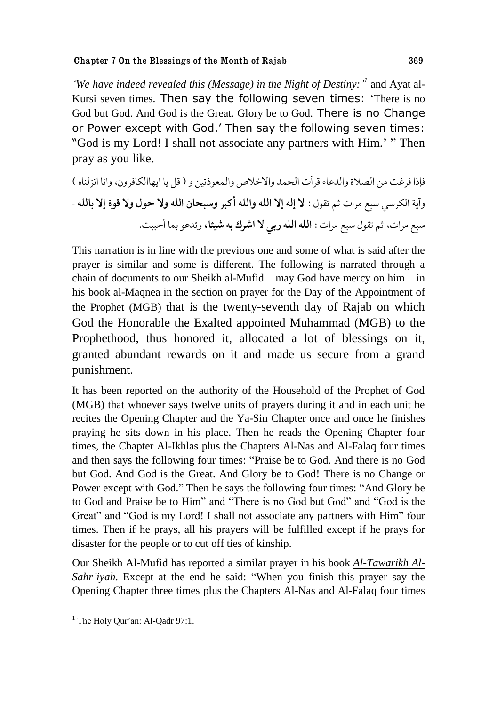'We have indeed revealed this (Message) in the Night of Destiny:<sup>'</sup> and Ayat al-Kursi seven times. Then say the following seven times: "There is no God but God. And God is the Great. Glory be to God. There is no Change or Power except with God." Then say the following seven times: "God is my Lord! I shall not associate any partners with Him." " Then pray as you like.

٨بـح ٨ك٤ث هى حلّالة وحلؿ٠اء ٬كأت حلعمؿ وحالؼالَ وحلم١ىـجيى و ) ٬ل يا حيهاحلكا٨كوو، وحيا حيملًاه ( وآية حلككوي وبٟ هكحت ذن ج٭ىل : **ال اله اال حلله وحلله أکبك ووبعاو حلله وال ظىل وال ٬ىة اال بالله** – وبٟ هكحت، ذن ج٭ىل وبٟ هكحت : **حلله حلله قبي ال حٌكٮ به ٌيجا،** وجؿ٠ى بما أظببث.

This narration is in line with the previous one and some of what is said after the prayer is similar and some is different. The following is narrated through a chain of documents to our Sheikh al-Mufid – may God have mercy on him – in his book al-Maqnea in the section on prayer for the Day of the Appointment of the Prophet (MGB) that is the twenty-seventh day of Rajab on which God the Honorable the Exalted appointed Muhammad (MGB) to the Prophethood, thus honored it, allocated a lot of blessings on it, granted abundant rewards on it and made us secure from a grand punishment.

It has been reported on the authority of the Household of the Prophet of God (MGB) that whoever says twelve units of prayers during it and in each unit he recites the Opening Chapter and the Ya-Sin Chapter once and once he finishes praying he sits down in his place. Then he reads the Opening Chapter four times, the Chapter Al-Ikhlas plus the Chapters Al-Nas and Al-Falaq four times and then says the following four times: "Praise be to God. And there is no God but God. And God is the Great. And Glory be to God! There is no Change or Power except with God." Then he says the following four times: "And Glory be to God and Praise be to Him" and "There is no God but God" and "God is the Great" and "God is my Lord! I shall not associate any partners with Him" four times. Then if he prays, all his prayers will be fulfilled except if he prays for disaster for the people or to cut off ties of kinship.

Our Sheikh Al-Mufid has reported a similar prayer in his book *Al-Tawarikh Al-Sahr"iyah*. Except at the end he said: "When you finish this prayer say the Opening Chapter three times plus the Chapters Al-Nas and Al-Falaq four times

<sup>1</sup>  $<sup>1</sup>$  The Holy Our'an: Al-Oadr 97:1.</sup>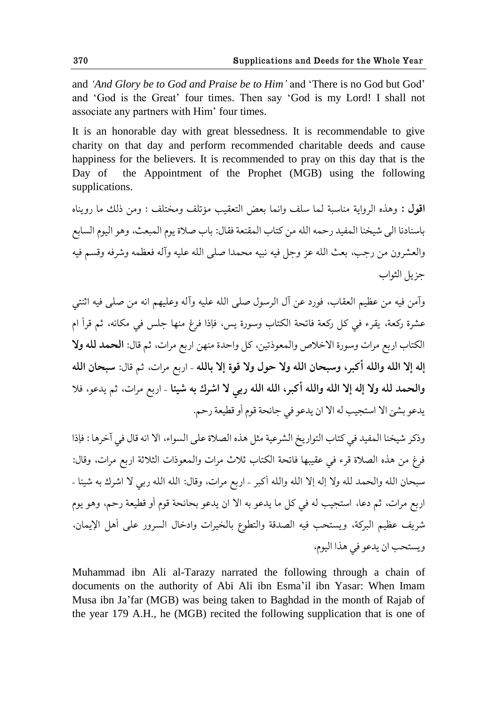and *"And Glory be to God and Praise be to Him"* and "There is no God but God" and "God is the Great" four times. Then say "God is my Lord! I shall not associate any partners with Him' four times.

It is an honorable day with great blessedness. It is recommendable to give charity on that day and perform recommended charitable deeds and cause happiness for the believers. It is recommended to pray on this day that is the Day of the Appointment of the Prophet (MGB) using the following supplications.

**اقول :** وهذه الرواية مناسبة لما سلف وإنما بعض التعقيب مؤتلف ومختلف : ومن ذلك ما رويناه باسنادنا الي شيخنا المفيد رحمه الله من كتاب المقنعة فقال: باب صلاة يوم المبعث، وهو اليوم السابع والعشرون من رجب، بعث الله عز وجل فيه نبيه محمدا صلى الله عليه وآله فعظمه وشرفه وقسم فيه جزيل الثواب

وآمن فيه من عظيم العقاب، فورد عن آل الرسول صلى الله عليه وآله وعليهم انه من صلى فيه اثنتي عشرة ركعة، يقرء في كل ركعة فاتحة الكتاب وسورة يس، فإذا فرغ منها جلس في مكانه، ثم قرأ ام الكتاب اربع مرات وسورة الاخلاص والمعوذتين، كل واحدة منهن اربع مرات، ثم قال: **الحمد لله ولا** إله إلا الله والله أكبر، وسبحان الله ولا حول ولا قوة إلا بالله - اربع مرات، ثم قال: سبحان الله والحمد لله ولا إله إلا الله والله أكبر، الله الله ربي لا اشرك به شيئا - اربع مرات، ثم يدعو، فلا يدعو بشئ الا استجيب له الا ان يدعو في جائحة قوم أو قطيعة رحم.

وذكر شيخنا المفيد في كتاب التواريخ الشرعية مثل هذه الصلاة على السواء، الا انه قال في آخرها : فإذا فرغ من هذه الصلاة قرء في عقيبها فاتحة الكتاب ثلاث مرات والمعوذات الثلاثة اربع مرات، وقال: سبحان الله والحمد لله ولا إله إلا الله والله أكبر - اربع مرات، وقال: الله الله ربي لا اشرك به شيئا -اربع مرات، ثم دعا، استجيب له في كل ما يدعو به الا ان يدعو بحائحة قوم أو قطيعة رحم، وهو يوم شريف عظيم البركة، ويستحب فيه الصدقة والتطوع بالخيرات وادخال السرور على أهل الإيمان، ويستحب ان يدعو في هذا اليوم،

Muhammad ibn Ali al-Tarazy narrated the following through a chain of documents on the authority of Abi Ali ibn Esma"il ibn Yasar: When Imam Musa ibn Ja"far (MGB) was being taken to Baghdad in the month of Rajab of the year 179 A.H., he (MGB) recited the following supplication that is one of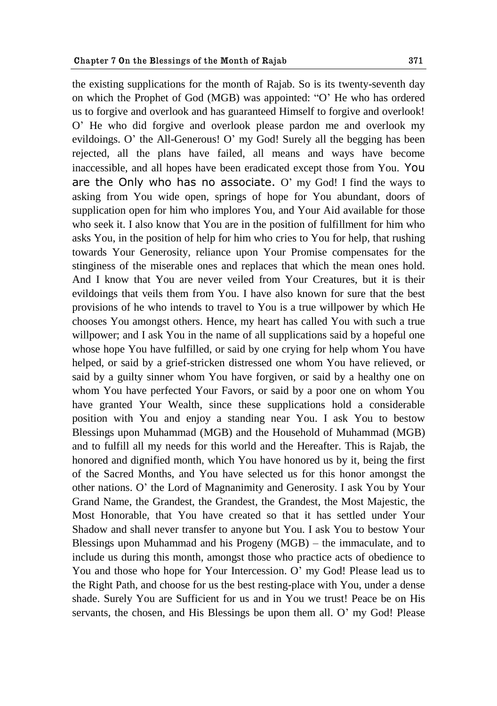the existing supplications for the month of Rajab. So is its twenty-seventh day on which the Prophet of God (MGB) was appointed: "O" He who has ordered us to forgive and overlook and has guaranteed Himself to forgive and overlook! O" He who did forgive and overlook please pardon me and overlook my evildoings. O' the All-Generous! O' my God! Surely all the begging has been rejected, all the plans have failed, all means and ways have become inaccessible, and all hopes have been eradicated except those from You. You are the Only who has no associate.  $O<sup>3</sup>$  my God! I find the ways to asking from You wide open, springs of hope for You abundant, doors of supplication open for him who implores You, and Your Aid available for those who seek it. I also know that You are in the position of fulfillment for him who asks You, in the position of help for him who cries to You for help, that rushing towards Your Generosity, reliance upon Your Promise compensates for the stinginess of the miserable ones and replaces that which the mean ones hold. And I know that You are never veiled from Your Creatures, but it is their evildoings that veils them from You. I have also known for sure that the best provisions of he who intends to travel to You is a true willpower by which He chooses You amongst others. Hence, my heart has called You with such a true willpower; and I ask You in the name of all supplications said by a hopeful one whose hope You have fulfilled, or said by one crying for help whom You have helped, or said by a grief-stricken distressed one whom You have relieved, or said by a guilty sinner whom You have forgiven, or said by a healthy one on whom You have perfected Your Favors, or said by a poor one on whom You have granted Your Wealth, since these supplications hold a considerable position with You and enjoy a standing near You. I ask You to bestow Blessings upon Muhammad (MGB) and the Household of Muhammad (MGB) and to fulfill all my needs for this world and the Hereafter. This is Rajab, the honored and dignified month, which You have honored us by it, being the first of the Sacred Months, and You have selected us for this honor amongst the other nations. O" the Lord of Magnanimity and Generosity. I ask You by Your Grand Name, the Grandest, the Grandest, the Grandest, the Most Majestic, the Most Honorable, that You have created so that it has settled under Your Shadow and shall never transfer to anyone but You. I ask You to bestow Your Blessings upon Muhammad and his Progeny (MGB) – the immaculate, and to include us during this month, amongst those who practice acts of obedience to You and those who hope for Your Intercession. O" my God! Please lead us to the Right Path, and choose for us the best resting-place with You, under a dense shade. Surely You are Sufficient for us and in You we trust! Peace be on His servants, the chosen, and His Blessings be upon them all. O" my God! Please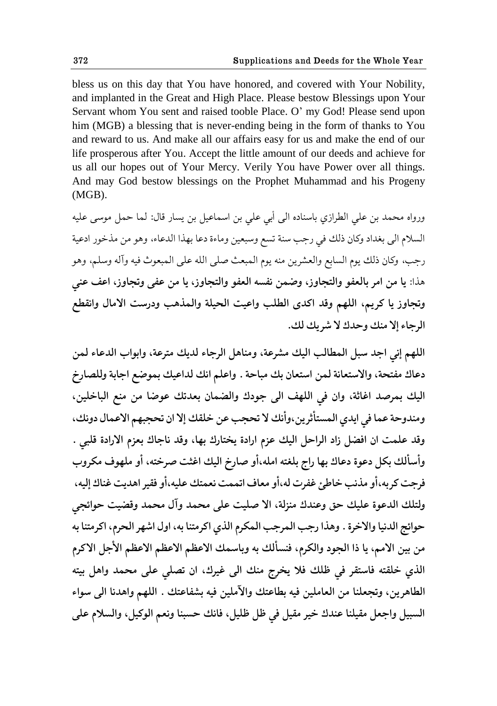bless us on this day that You have honored, and covered with Your Nobility, and implanted in the Great and High Place. Please bestow Blessings upon Your Servant whom You sent and raised tooble Place. O" my God! Please send upon him (MGB) a blessing that is never-ending being in the form of thanks to You and reward to us. And make all our affairs easy for us and make the end of our life prosperous after You. Accept the little amount of our deeds and achieve for us all our hopes out of Your Mercy. Verily You have Power over all things. And may God bestow blessings on the Prophet Muhammad and his Progeny (MGB).

ورواه محمد بن على الطرازي باسناده الى أبي على بن اسماعيل بن يسار قال: لما حمل موسى عليه السلام الى بغداد وكان ذلك في رجب سنة تسع وسبعين وماءة دعا بهذا الدعاء، وهو من مذخور ادعية رجب، وكان ذلك يوم السابع والعشرين منه يوم المبعث صلى الله على المبعوث فيه وآله وسلم، وهو هذا: يا من امر بالعفو والتجاوز، وضمن نفسه العفو والتجاوز، يا من عفي وتجاوز، اعف عني وتجاوز يا كريم، اللهم وقد اكدى الطلب واعيت الحيلة والمذهب ودرست الامال وانقطع الرجاء إلا منك وحدك لا شريك لك.

اللهم إني اجد سبل المطالب اليك مشرعة، ومناهل الرجاء لديك مترعة، وابواب الدعاء لمن دعاك مفتحة، والاستعانة لمن استعان بك مباحة . واعلم انك لداعيك بموضع اجابة وللصارخ اليك بمرصد اغاثة، وان في اللهف الى جودك والضمان بعدتك عوضا من منع الباخلين، ومندوحة عما في ايدي المستأثرين،وأنك لا تحجب عن خلقك إلا ان تحجبهم الاعمال دونك، وقد علمت ان افضل زاد الراحل اليك عزم ارادة يختارك بها، وقد ناجاك بعزم الارادة قلبي . وأسألك بكل دعوة دعاك بها راج بلغته امله،أو صارخ اليك اغثت صرخته، أو ملهوف مكروب فرجت كربه،أو مذنب خاطئ غفرت له،أو معاف اتممت نعمتك عليه،أو فقير اهديت غناك إليه، ولتلك الدعوة عليك حق وعندك منزلة، الا صليت على محمد وآل محمد وقضيت حوائجي حوائج الدنيا والاخرة . وهذا رجب المرجب المكرم الذي اكرمتنا به، اول اشهر الحرم، اكرمتنا به من بين الامم، يا ذا الجود والكرم، فنسألك به وباسمك الاعظم الاعظم الأحل الاكرم الذي خلقته فاستقر في ظلك فلا يخرج منك الى غيرك، ان تصلى على محمد واهل بيته الطاهرين، وتجعلنا من العاملين فيه بطاعتك والآملين فيه بشفاعتك . اللهم واهدنا الى سواء السبيل واجعل مقيلنا عندك خير مقيل في ظل ظليل، فانك حسبنا ونعم الوكيل، والسلام على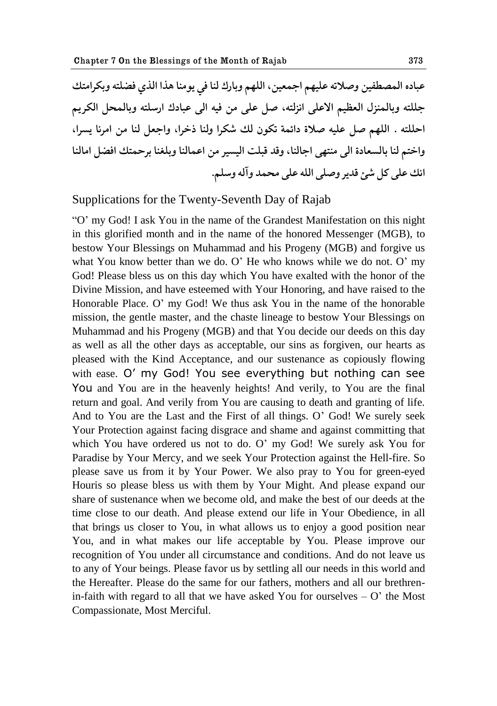عباده المصطفين وصلاته عليهم اجمعين، اللهم وبارك لنا في يومنا هذا الذي فضلته وبكرامتك جللته وبالممنزل العظيم الاعلى انزلته، صل على من فيه الى عبادك ارسلته وبالمحل الكريم احللته . اللهم صل عليه صلاة دائمة تكون لك شكرا ولنا ذخرا، واجعل لنا من امرنا يسرا، واختم لنا بالسعادة الى منتهى اجالنا، وقد قبلت اليسير من اعمالنا وبلغنا برحمتك افضل امالنا انك على كل شئ قدير وصلى الله على محمد وآله وسلم.

Supplications for the Twenty-Seventh Day of Rajab

"O" my God! I ask You in the name of the Grandest Manifestation on this night in this glorified month and in the name of the honored Messenger (MGB), to bestow Your Blessings on Muhammad and his Progeny (MGB) and forgive us what You know better than we do. O' He who knows while we do not. O' my God! Please bless us on this day which You have exalted with the honor of the Divine Mission, and have esteemed with Your Honoring, and have raised to the Honorable Place. O" my God! We thus ask You in the name of the honorable mission, the gentle master, and the chaste lineage to bestow Your Blessings on Muhammad and his Progeny (MGB) and that You decide our deeds on this day as well as all the other days as acceptable, our sins as forgiven, our hearts as pleased with the Kind Acceptance, and our sustenance as copiously flowing with ease. O' my God! You see everything but nothing can see You and You are in the heavenly heights! And verily, to You are the final return and goal. And verily from You are causing to death and granting of life. And to You are the Last and the First of all things. O" God! We surely seek Your Protection against facing disgrace and shame and against committing that which You have ordered us not to do. O' my God! We surely ask You for Paradise by Your Mercy, and we seek Your Protection against the Hell-fire. So please save us from it by Your Power. We also pray to You for green-eyed Houris so please bless us with them by Your Might. And please expand our share of sustenance when we become old, and make the best of our deeds at the time close to our death. And please extend our life in Your Obedience, in all that brings us closer to You, in what allows us to enjoy a good position near You, and in what makes our life acceptable by You. Please improve our recognition of You under all circumstance and conditions. And do not leave us to any of Your beings. Please favor us by settling all our needs in this world and the Hereafter. Please do the same for our fathers, mothers and all our brethrenin-faith with regard to all that we have asked You for ourselves  $- O'$  the Most Compassionate, Most Merciful.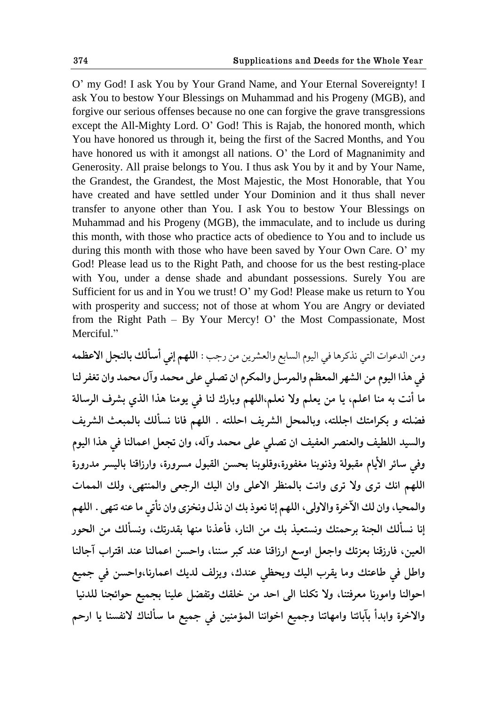O" my God! I ask You by Your Grand Name, and Your Eternal Sovereignty! I ask You to bestow Your Blessings on Muhammad and his Progeny (MGB), and forgive our serious offenses because no one can forgive the grave transgressions except the All-Mighty Lord. O' God! This is Rajab, the honored month, which You have honored us through it, being the first of the Sacred Months, and You have honored us with it amongst all nations. O" the Lord of Magnanimity and Generosity. All praise belongs to You. I thus ask You by it and by Your Name, the Grandest, the Grandest, the Most Majestic, the Most Honorable, that You have created and have settled under Your Dominion and it thus shall never transfer to anyone other than You. I ask You to bestow Your Blessings on Muhammad and his Progeny (MGB), the immaculate, and to include us during this month, with those who practice acts of obedience to You and to include us during this month with those who have been saved by Your Own Care. O" my God! Please lead us to the Right Path, and choose for us the best resting-place with You, under a dense shade and abundant possessions. Surely You are Sufficient for us and in You we trust! O" my God! Please make us return to You with prosperity and success; not of those at whom You are Angry or deviated from the Right Path – By Your Mercy! O' the Most Compassionate, Most Merciful."

ومن الدعوات التي نذكرها في اليوم السابع والعشرين من رجب : **اللهم إني أسألك بالنجل الاعظمه** في هذا اليوم من الشهر المعظم والمرسل والمكرم ان تصلي علي محمد وآل محمد وان تغفر لنا ما أنت به منا اعلم، يا من يعلم ولا نعلم،اللهم وبارك لنا في يومنا هذا الذي بشرف الرسالة فضلته و بكرامتك اجللته، وبالمحل الشريف احللته . اللهم فانا نسألك بالمبعث الشريف والسيد اللطيف والعنصر العفيف ان تصلي على محمد وآله، وان تجعل اعمالنا في هذا اليوم وفي سائر الأيام مقبولة وذنوبنا مغفورة،وقلوبنا بحسن القبول مسرورة، وارزاقنا باليسر مدرورة اللهم انك ترى ولا ترى وانت بالمنظر الاعلى وان اليك الرجعي والمنتهى، ولك الممات والمحيا، وان لك الآخرة والاولى، اللهم إنا نعوذ بك ان نذل ونخزى وان نأتى ما عنه تنهى . اللهم إنا نسألك الجنة برحمتك ونستعيذ بك من النار، فأعذنا منها بقدرتك، ونسألك من الحور العين، فارزقنا بعزتك واجعل اوسع ارزاقنا عند كبر سننا، واحسن اعمالنا عند اقتراب آجالنا واطل في طاعتك وما يقرب اليك ويحظى عندك، ويزلف لديك اعمارنا،واحسن في جميع احوالنا وامورنا معرفتنا، ولا تكلنا ال<sub>ى</sub> احد من خلقك وتفضل علينا بجميع حوائجنا للدنيا والاخرة وابدأ بآبائنا وامهاتنا وجميع اخواننا المؤمنين في جميع ما سألناك لانفسنا يا ارحم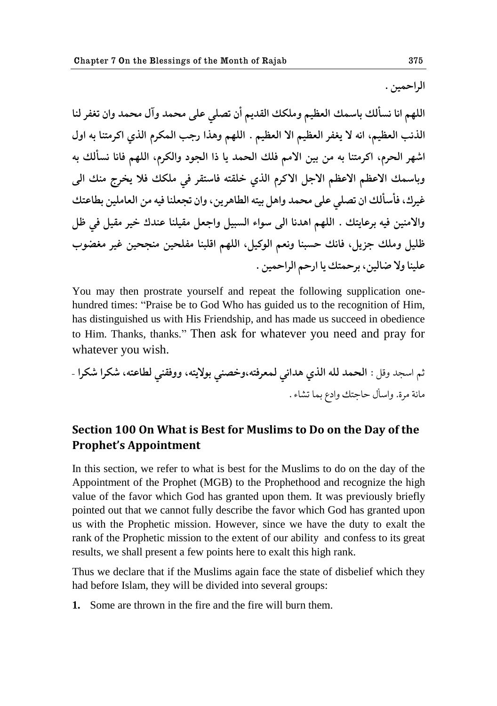الراحمين .

اللهم انا نسألك باسمك العظيم وملكك القديم أن تصل<sub>ّى</sub> على محمد وآل محمد وان تغفر لنا الذنب العظيم، انه لا يغفر العظيم الا العظيم . اللهم وهذا رجب المكرم الذي اكرمتنا به اول اشهر الحرم، اكرمتنا به من بين الامم فلك الحمد يا ذا الجود والكرم، اللهم فانا نسألك به وباسمك الاعظم الاعظم الاجل الاكرم الذي خلقته فاستقر في ملكك فلا يخرج منك الي غيرك، فأسألك ان تصلى على محمد واهل بيته الطاهرين، وان تجعلنا فيه من العاملين بطاعتك والامنين فيه برعايتك . اللهم اهدنا الى سواء السبيل واجعل مقيلنا عندك خير مقيل في ظل ظليل وملك جزيل، فانك حسبنا ونعم الوكيل، اللهم اقلبنا مفلحين منجحين غير مغضوب **٠ليًا وال ٔاليى، بكظمحٯ یا حقظن حلكحظميى .** 

You may then prostrate yourself and repeat the following supplication onehundred times: "Praise be to God Who has guided us to the recognition of Him, has distinguished us with His Friendship, and has made us succeed in obedience to Him. Thanks, thanks." Then ask for whatever you need and pray for whatever you wish.

ذن حوصؿ و٬ل : **حلعمؿ لله حلفي هؿحيي لم١ك٨حه،وؼًّي بىالیحه، وو٨٭ًي لٙا٠حه، ٌككح ٌككح** – هاثة هكة. وحوؤل ظاشحٯ وحؾٞ بما جٍاء .

#### **Section 100 On What is Best for Muslims to Do on the Day of the Prophet's Appointment**

In this section, we refer to what is best for the Muslims to do on the day of the Appointment of the Prophet (MGB) to the Prophethood and recognize the high value of the favor which God has granted upon them. It was previously briefly pointed out that we cannot fully describe the favor which God has granted upon us with the Prophetic mission. However, since we have the duty to exalt the rank of the Prophetic mission to the extent of our ability and confess to its great results, we shall present a few points here to exalt this high rank.

Thus we declare that if the Muslims again face the state of disbelief which they had before Islam, they will be divided into several groups:

**1.** Some are thrown in the fire and the fire will burn them.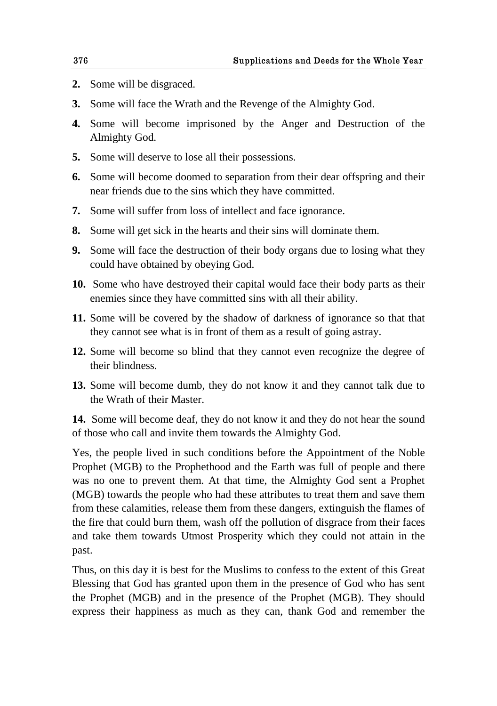- **2.** Some will be disgraced.
- **3.** Some will face the Wrath and the Revenge of the Almighty God.
- **4.** Some will become imprisoned by the Anger and Destruction of the Almighty God.
- **5.** Some will deserve to lose all their possessions.
- **6.** Some will become doomed to separation from their dear offspring and their near friends due to the sins which they have committed.
- **7.** Some will suffer from loss of intellect and face ignorance.
- **8.** Some will get sick in the hearts and their sins will dominate them.
- **9.** Some will face the destruction of their body organs due to losing what they could have obtained by obeying God.
- **10.** Some who have destroyed their capital would face their body parts as their enemies since they have committed sins with all their ability.
- **11.** Some will be covered by the shadow of darkness of ignorance so that that they cannot see what is in front of them as a result of going astray.
- **12.** Some will become so blind that they cannot even recognize the degree of their blindness.
- **13.** Some will become dumb, they do not know it and they cannot talk due to the Wrath of their Master.

**14.** Some will become deaf, they do not know it and they do not hear the sound of those who call and invite them towards the Almighty God.

Yes, the people lived in such conditions before the Appointment of the Noble Prophet (MGB) to the Prophethood and the Earth was full of people and there was no one to prevent them. At that time, the Almighty God sent a Prophet (MGB) towards the people who had these attributes to treat them and save them from these calamities, release them from these dangers, extinguish the flames of the fire that could burn them, wash off the pollution of disgrace from their faces and take them towards Utmost Prosperity which they could not attain in the past.

Thus, on this day it is best for the Muslims to confess to the extent of this Great Blessing that God has granted upon them in the presence of God who has sent the Prophet (MGB) and in the presence of the Prophet (MGB). They should express their happiness as much as they can, thank God and remember the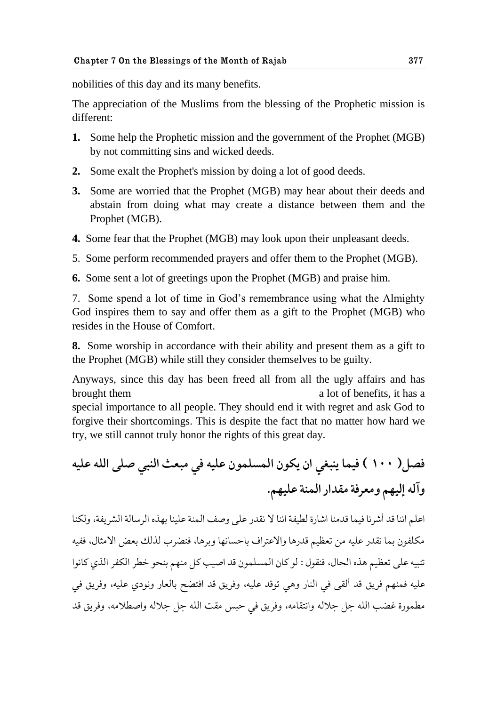nobilities of this day and its many benefits.

The appreciation of the Muslims from the blessing of the Prophetic mission is different:

- **1.** Some help the Prophetic mission and the government of the Prophet (MGB) by not committing sins and wicked deeds.
- **2.** Some exalt the Prophet's mission by doing a lot of good deeds.
- **3.** Some are worried that the Prophet (MGB) may hear about their deeds and abstain from doing what may create a distance between them and the Prophet (MGB).
- **4.** Some fear that the Prophet (MGB) may look upon their unpleasant deeds.
- 5. Some perform recommended prayers and offer them to the Prophet (MGB).
- **6.** Some sent a lot of greetings upon the Prophet (MGB) and praise him.

7. Some spend a lot of time in God"s remembrance using what the Almighty God inspires them to say and offer them as a gift to the Prophet (MGB) who resides in the House of Comfort.

**8.** Some worship in accordance with their ability and present them as a gift to the Prophet (MGB) while still they consider themselves to be guilty.

Anyways, since this day has been freed all from all the ugly affairs and has brought them a lot of benefits, it has a special importance to all people. They should end it with regret and ask God to forgive their shortcomings. This is despite the fact that no matter how hard we try, we still cannot truly honor the rights of this great day.

**ّ٨ل) 111 ( ٨يما یًب٥ي حو یكىو حلمىلمىو ٠ليه ٨ي هب١د حلًبي ِلى حلله ٠ليه وآله اليهن وه١ك٨ة ه٭ؿحق حلمًة ٠ليهن.** 

اعلم اننا قد أشرنا فيما قدمنا اشارة لطيفة اننا لا نقدر على وصف المنة علينا بهذه الرسالة الشريفة، ولكنا مكلفون بما نقدر عليه من تعظيم قدرها والاعتراف باحسانها وبرها، فنضرب لذلك بعض الامثال، ففيه تنبيه على تعظيم هذه الحال، فنقول : لو كان المسلمون قد اصيب كل منهم بنحو خطر الكفر الذي كانوا عليه فمنهم فريق قد ألقى في النار وهي توقد عليه، وفريق قد افتضح بالعار ونودي عليه، وفريق في مطمورة غضب الله جل جلاله وانتقامه، وفريق في حبس مقت الله جل جلاله واصطلامه، وفريق قد